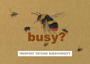## **FREEPOST TAYSIDE BIODIVERSITY**

busy?